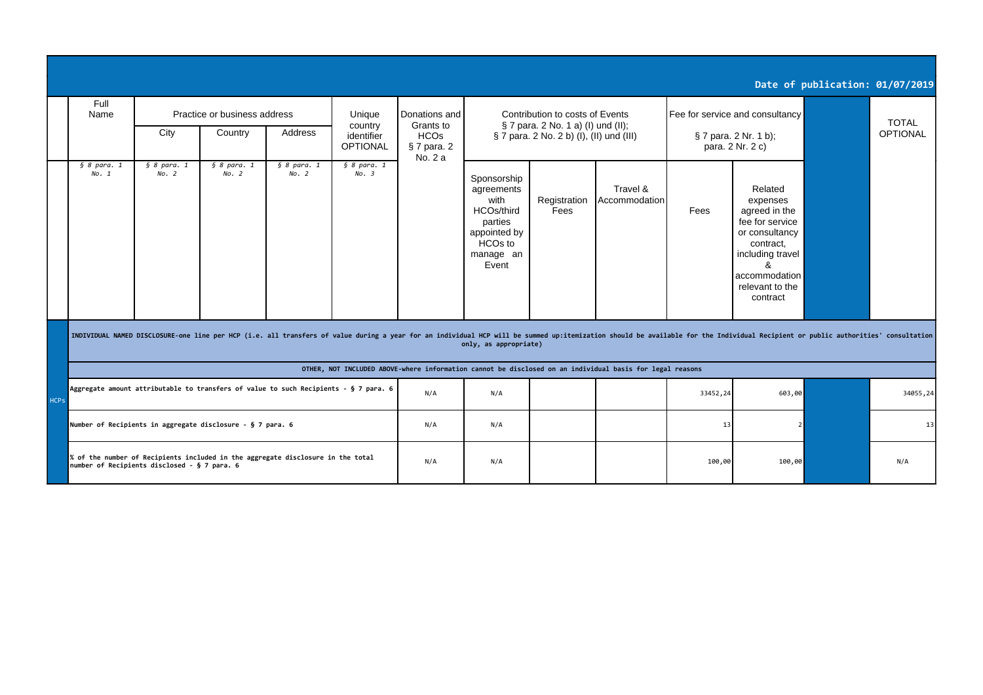|             |                                                                                                                                                                                                                                                         |                                                                                                          |                              |                                                                                 |                               |                                       |                                                                                                                         |                      |                                 |                                           |                                                                                                                                                                 | Date of publication: 01/07/2019 |          |  |
|-------------|---------------------------------------------------------------------------------------------------------------------------------------------------------------------------------------------------------------------------------------------------------|----------------------------------------------------------------------------------------------------------|------------------------------|---------------------------------------------------------------------------------|-------------------------------|---------------------------------------|-------------------------------------------------------------------------------------------------------------------------|----------------------|---------------------------------|-------------------------------------------|-----------------------------------------------------------------------------------------------------------------------------------------------------------------|---------------------------------|----------|--|
|             | Full<br>Name                                                                                                                                                                                                                                            | Practice or business address<br>Unique<br>country                                                        |                              |                                                                                 | Donations and<br>Grants to    |                                       | Contribution to costs of Events<br>§ 7 para. 2 No. 1 a) (I) und (II);                                                   |                      | Fee for service and consultancy |                                           |                                                                                                                                                                 | <b>TOTAL</b>                    |          |  |
|             |                                                                                                                                                                                                                                                         | City                                                                                                     | Country                      | Address                                                                         | identifier<br><b>OPTIONAL</b> | <b>HCOs</b><br>§ 7 para. 2<br>No. 2 a | § 7 para. 2 No. 2 b) (I), (II) und (III)                                                                                |                      |                                 | § 7 para. 2 Nr. 1 b);<br>para. 2 Nr. 2 c) |                                                                                                                                                                 |                                 | OPTIONAL |  |
|             | § 8 <i>para</i> . 1<br>No. 1                                                                                                                                                                                                                            | § 8 <i>para</i> . 1<br>No. 2                                                                             | § 8 <i>para</i> . 1<br>No. 2 | § 8 <i>para</i> . 1<br>No. 2                                                    | § 8 <i>para</i> . 1<br>No. 3  |                                       | Sponsorship<br>agreements<br>with<br>HCOs/third<br>parties<br>appointed by<br>HCO <sub>s</sub> to<br>manage an<br>Event | Registration<br>Fees | Travel &<br>Accommodation       | Fees                                      | Related<br>expenses<br>agreed in the<br>fee for service<br>or consultancy<br>contract,<br>including travel<br>ጼ<br>accommodation<br>relevant to the<br>contract |                                 |          |  |
|             | INDIVIDUAL NAMED DISCLOSURE-one line per HCP (i.e. all transfers of value during a year for an individual HCP will be summed up:itemization should be available for the Individual Recipient or public authorities' consultati<br>only, as appropriate) |                                                                                                          |                              |                                                                                 |                               |                                       |                                                                                                                         |                      |                                 |                                           |                                                                                                                                                                 |                                 |          |  |
|             |                                                                                                                                                                                                                                                         | OTHER, NOT INCLUDED ABOVE-where information cannot be disclosed on an individual basis for legal reasons |                              |                                                                                 |                               |                                       |                                                                                                                         |                      |                                 |                                           |                                                                                                                                                                 |                                 |          |  |
| <b>HCPs</b> | Aggregate amount attributable to transfers of value to such Recipients - § 7 para. 6                                                                                                                                                                    |                                                                                                          |                              |                                                                                 |                               | N/A                                   | N/A                                                                                                                     |                      |                                 | 33452,24                                  | 603,00                                                                                                                                                          |                                 | 34055,24 |  |
|             | Number of Recipients in aggregate disclosure - § 7 para. 6                                                                                                                                                                                              |                                                                                                          |                              |                                                                                 |                               | N/A                                   | N/A                                                                                                                     |                      |                                 | 13                                        |                                                                                                                                                                 |                                 | 13       |  |
|             |                                                                                                                                                                                                                                                         | number of Recipients disclosed - § 7 para. 6                                                             |                              | % of the number of Recipients included in the aggregate disclosure in the total |                               | N/A                                   | N/A                                                                                                                     |                      |                                 | 100,00                                    | 100,00                                                                                                                                                          |                                 | N/A      |  |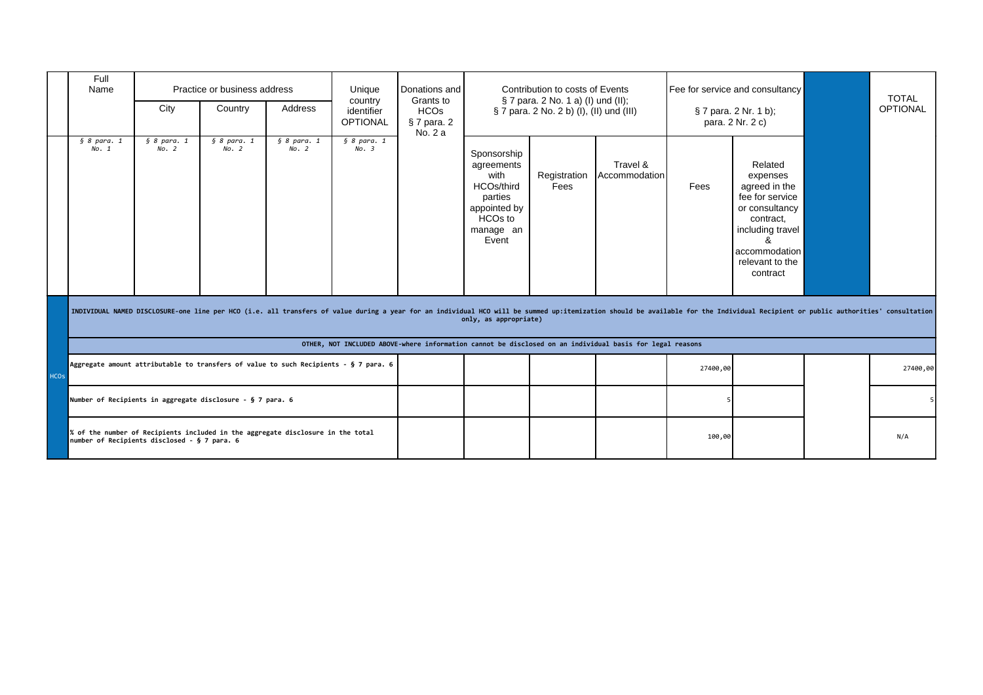|             | Full<br>Name                                                                                                                                                                                                                                            | Practice or business address<br>Address<br>City<br>Country                      |                              |                                    | Unique<br>country<br>identifier<br><b>OPTIONAL</b> | Donations and<br>Grants to<br><b>HCOs</b><br>§ 7 para. 2<br>No. 2 a | Contribution to costs of Events<br>§ 7 para. 2 No. 1 a) (I) und (II);<br>§ 7 para. 2 No. 2 b) (I), (II) und (III)       |                      |                           | Fee for service and consultancy<br>§ 7 para. 2 Nr. 1 b);<br>para. 2 Nr. 2 c) |                                                                                                                                                                 |  | <b>TOTAL</b><br><b>OPTIONAL</b> |
|-------------|---------------------------------------------------------------------------------------------------------------------------------------------------------------------------------------------------------------------------------------------------------|---------------------------------------------------------------------------------|------------------------------|------------------------------------|----------------------------------------------------|---------------------------------------------------------------------|-------------------------------------------------------------------------------------------------------------------------|----------------------|---------------------------|------------------------------------------------------------------------------|-----------------------------------------------------------------------------------------------------------------------------------------------------------------|--|---------------------------------|
|             | § 8 <i>para</i> . 1<br>No. 1                                                                                                                                                                                                                            | § 8 <i>para</i> . 1<br>No. 2                                                    | § 8 <i>para</i> . 1<br>No. 2 | $\overline{\S}$ 8 para. 1<br>No. 2 | § 8 <i>para</i> . 1<br>No. 3                       |                                                                     | Sponsorship<br>agreements<br>with<br>HCOs/third<br>parties<br>appointed by<br>HCO <sub>s</sub> to<br>manage an<br>Event | Registration<br>Fees | Travel &<br>Accommodation | Fees                                                                         | Related<br>expenses<br>agreed in the<br>fee for service<br>or consultancy<br>contract,<br>including travel<br>ጼ<br>accommodation<br>relevant to the<br>contract |  |                                 |
|             | INDIVIDUAL NAMED DISCLOSURE-one line per HCO (i.e. all transfers of value during a year for an individual HCO will be summed up:itemization should be available for the Individual Recipient or public authorities' consultati<br>only, as appropriate) |                                                                                 |                              |                                    |                                                    |                                                                     |                                                                                                                         |                      |                           |                                                                              |                                                                                                                                                                 |  |                                 |
|             | OTHER, NOT INCLUDED ABOVE-where information cannot be disclosed on an individual basis for legal reasons                                                                                                                                                |                                                                                 |                              |                                    |                                                    |                                                                     |                                                                                                                         |                      |                           |                                                                              |                                                                                                                                                                 |  |                                 |
| <b>HCOs</b> | Aggregate amount attributable to transfers of value to such Recipients - § 7 para. 6                                                                                                                                                                    |                                                                                 |                              |                                    |                                                    |                                                                     |                                                                                                                         |                      |                           | 27400,00                                                                     |                                                                                                                                                                 |  | 27400,00                        |
|             |                                                                                                                                                                                                                                                         | Number of Recipients in aggregate disclosure - § 7 para. 6                      |                              |                                    |                                                    |                                                                     |                                                                                                                         |                      |                           |                                                                              |                                                                                                                                                                 |  | 5 <sup>1</sup>                  |
|             | number of Recipients disclosed - § 7 para. 6                                                                                                                                                                                                            | % of the number of Recipients included in the aggregate disclosure in the total |                              |                                    |                                                    |                                                                     |                                                                                                                         | 100,00               |                           |                                                                              | N/A                                                                                                                                                             |  |                                 |